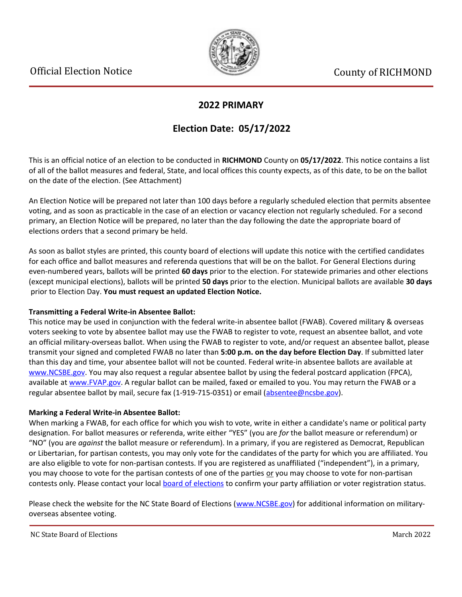

### **2022 PRIMARY**

## **Election Date: 05/17/2022**

This is an official notice of an election to be conducted in **RICHMOND** County on **05/17/2022**. This notice contains a list of all of the ballot measures and federal, State, and local offices this county expects, as of this date, to be on the ballot on the date of the election. (See Attachment)

An Election Notice will be prepared not later than 100 days before a regularly scheduled election that permits absentee voting, and as soon as practicable in the case of an election or vacancy election not regularly scheduled. For a second primary, an Election Notice will be prepared, no later than the day following the date the appropriate board of elections orders that a second primary be held.

As soon as ballot styles are printed, this county board of elections will update this notice with the certified candidates for each office and ballot measures and referenda questions that will be on the ballot. For General Elections during even-numbered years, ballots will be printed **60 days** prior to the election. For statewide primaries and other elections (except municipal elections), ballots will be printed **50 days** prior to the election. Municipal ballots are available **30 days** prior to Election Day. **You must request an updated Election Notice.**

### **Transmitting a Federal Write-in Absentee Ballot:**

This notice may be used in conjunction with the federal write-in absentee ballot (FWAB). Covered military & overseas voters seeking to vote by absentee ballot may use the FWAB to register to vote, request an absentee ballot, and vote an official military-overseas ballot. When using the FWAB to register to vote, and/or request an absentee ballot, please transmit your signed and completed FWAB no later than **5:00 p.m. on the day before Election Day**. If submitted later than this day and time, your absentee ballot will not be counted. Federal write-in absentee ballots are available at [www.NCSBE.gov.](https://www.ncsbe.gov/) You may also request a regular absentee ballot by using the federal postcard application (FPCA), available at [www.FVAP.gov](https://www.fvap.gov/). A regular ballot can be mailed, faxed or emailed to you. You may return the FWAB or a regular absentee ballot by mail, secure fax (1-919-715-0351) or email (absentee@ncsbe.gov).

### **Marking a Federal Write-in Absentee Ballot:**

When marking a FWAB, for each office for which you wish to vote, write in either a candidate's name or political party designation. For ballot measures or referenda, write either "YES" (you are *for* the ballot measure or referendum) or "NO" (you are *against* the ballot measure or referendum). In a primary, if you are registered as Democrat, Republican or Libertarian, for partisan contests, you may only vote for the candidates of the party for which you are affiliated. You are also eligible to vote for non-partisan contests. If you are registered as unaffiliated ("independent"), in a primary, you may choose to vote for the partisan contests of one of the parties or you may choose to vote for non-partisan contests only. Please contact your local [board of elections](https://vt.ncsbe.gov/BOEInfo/) to confirm your party affiliation or voter registration status.

Please check the website for the NC State Board of Elections ([www.NCSBE.gov\)](https://www.ncsbe.gov/) for additional information on militaryoverseas absentee voting.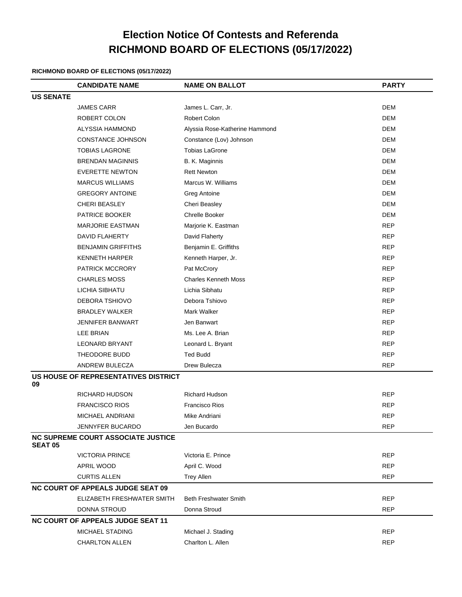# **Election Notice Of Contests and Referenda RICHMOND BOARD OF ELECTIONS (05/17/2022)**

### **RICHMOND BOARD OF ELECTIONS (05/17/2022)**

|                  | <b>CANDIDATE NAME</b>                     | <b>NAME ON BALLOT</b>          | <b>PARTY</b> |
|------------------|-------------------------------------------|--------------------------------|--------------|
| <b>US SENATE</b> |                                           |                                |              |
|                  | <b>JAMES CARR</b>                         | James L. Carr, Jr.             | <b>DEM</b>   |
|                  | ROBERT COLON                              | Robert Colon                   | <b>DEM</b>   |
|                  | ALYSSIA HAMMOND                           | Alyssia Rose-Katherine Hammond | <b>DEM</b>   |
|                  | CONSTANCE JOHNSON                         | Constance (Lov) Johnson        | <b>DEM</b>   |
|                  | <b>TOBIAS LAGRONE</b>                     | <b>Tobias LaGrone</b>          | <b>DEM</b>   |
|                  | <b>BRENDAN MAGINNIS</b>                   | B. K. Maginnis                 | <b>DEM</b>   |
|                  | <b>EVERETTE NEWTON</b>                    | <b>Rett Newton</b>             | <b>DEM</b>   |
|                  | <b>MARCUS WILLIAMS</b>                    | Marcus W. Williams             | <b>DEM</b>   |
|                  | <b>GREGORY ANTOINE</b>                    | <b>Greg Antoine</b>            | <b>DEM</b>   |
|                  | <b>CHERI BEASLEY</b>                      | Cheri Beasley                  | <b>DEM</b>   |
|                  | PATRICE BOOKER                            | <b>Chrelle Booker</b>          | <b>DEM</b>   |
|                  | <b>MARJORIE EASTMAN</b>                   | Marjorie K. Eastman            | <b>REP</b>   |
|                  | <b>DAVID FLAHERTY</b>                     | David Flaherty                 | <b>REP</b>   |
|                  | <b>BENJAMIN GRIFFITHS</b>                 | Benjamin E. Griffiths          | <b>REP</b>   |
|                  | <b>KENNETH HARPER</b>                     | Kenneth Harper, Jr.            | <b>REP</b>   |
|                  | PATRICK MCCRORY                           | Pat McCrory                    | <b>REP</b>   |
|                  | <b>CHARLES MOSS</b>                       | <b>Charles Kenneth Moss</b>    | <b>REP</b>   |
|                  | LICHIA SIBHATU                            | Lichia Sibhatu                 | <b>REP</b>   |
|                  | DEBORA TSHIOVO                            | Debora Tshiovo                 | <b>REP</b>   |
|                  | <b>BRADLEY WALKER</b>                     | Mark Walker                    | <b>REP</b>   |
|                  | <b>JENNIFER BANWART</b>                   | Jen Banwart                    | <b>REP</b>   |
|                  | LEE BRIAN                                 | Ms. Lee A. Brian               | <b>REP</b>   |
|                  | <b>LEONARD BRYANT</b>                     | Leonard L. Bryant              | <b>REP</b>   |
|                  | THEODORE BUDD                             | <b>Ted Budd</b>                | <b>REP</b>   |
|                  | ANDREW BULECZA                            | Drew Bulecza                   | <b>REP</b>   |
|                  | US HOUSE OF REPRESENTATIVES DISTRICT      |                                |              |
| 09               |                                           |                                |              |
|                  | <b>RICHARD HUDSON</b>                     | Richard Hudson                 | <b>REP</b>   |
|                  | <b>FRANCISCO RIOS</b>                     | <b>Francisco Rios</b>          | <b>REP</b>   |
|                  | MICHAEL ANDRIANI                          | Mike Andriani                  | <b>REP</b>   |
|                  | JENNYFER BUCARDO                          | Jen Bucardo                    | <b>REP</b>   |
| <b>SEAT 05</b>   | <b>NC SUPREME COURT ASSOCIATE JUSTICE</b> |                                |              |
|                  | <b>VICTORIA PRINCE</b>                    | Victoria E. Prince             | <b>REP</b>   |
|                  | APRIL WOOD                                | April C. Wood                  | <b>REP</b>   |
|                  | <b>CURTIS ALLEN</b>                       | <b>Trey Allen</b>              | <b>REP</b>   |
|                  | <b>NC COURT OF APPEALS JUDGE SEAT 09</b>  |                                |              |
|                  | ELIZABETH FRESHWATER SMITH                | <b>Beth Freshwater Smith</b>   | <b>REP</b>   |
|                  | DONNA STROUD                              | Donna Stroud                   | <b>REP</b>   |
|                  | <b>NC COURT OF APPEALS JUDGE SEAT 11</b>  |                                |              |
|                  | MICHAEL STADING                           | Michael J. Stading             | <b>REP</b>   |
|                  | <b>CHARLTON ALLEN</b>                     | Charlton L. Allen              | <b>REP</b>   |